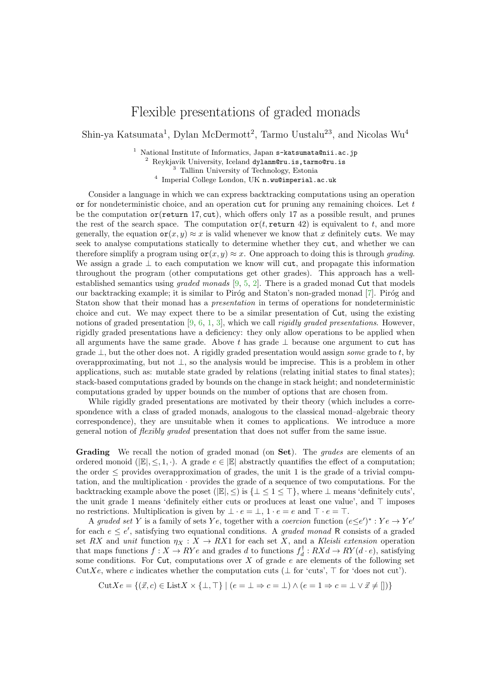## Flexible presentations of graded monads

Shin-ya Katsumata<sup>1</sup>, Dylan McDermott<sup>2</sup>, Tarmo Uustalu<sup>23</sup>, and Nicolas Wu<sup>4</sup>

<sup>1</sup> National Institute of Informatics, Japan  $s$ -katsumata@nii.ac.jp

<sup>2</sup> Reykjavik University, Iceland dylanm@ru.is,tarmo@ru.is

<sup>3</sup> Tallinn University of Technology, Estonia

4 Imperial College London, UK n.wu@imperial.ac.uk

Consider a language in which we can express backtracking computations using an operation or for nondeterministic choice, and an operation cut for pruning any remaining choices. Let  $t$ be the computation  $\sigma$ (return 17, cut), which offers only 17 as a possible result, and prunes the rest of the search space. The computation  $\mathsf{or}(t, \mathsf{return} 42)$  is equivalent to t, and more generally, the equation  $\mathbf{or}(x, y) \approx x$  is valid whenever we know that x definitely cuts. We may seek to analyse computations statically to determine whether they cut, and whether we can therefore simplify a program using  $\mathbf{or}(x, y) \approx x$ . One approach to doing this is through *grading*. We assign a grade  $\perp$  to each computation we know will cut, and propagate this information throughout the program (other computations get other grades). This approach has a wellestablished semantics using graded monads [\[9,](#page-2-0) [5,](#page-2-1) [2\]](#page-2-2). There is a graded monad Cut that models our backtracking example; it is similar to Piróg and Staton's non-graded monad [\[7\]](#page-2-3). Piróg and Staton show that their monad has a presentation in terms of operations for nondeterministic choice and cut. We may expect there to be a similar presentation of Cut, using the existing notions of graded presentation [\[9,](#page-2-0) [6,](#page-2-4) [1,](#page-2-5) [3\]](#page-2-6), which we call *rigidly graded presentations*. However, rigidly graded presentations have a deficiency: they only allow operations to be applied when all arguments have the same grade. Above t has grade  $\perp$  because one argument to cut has grade  $\perp$ , but the other does not. A rigidly graded presentation would assign some grade to t, by overapproximating, but not ⊥, so the analysis would be imprecise. This is a problem in other applications, such as: mutable state graded by relations (relating initial states to final states); stack-based computations graded by bounds on the change in stack height; and nondeterministic computations graded by upper bounds on the number of options that are chosen from.

While rigidly graded presentations are motivated by their theory (which includes a correspondence with a class of graded monads, analogous to the classical monad–algebraic theory correspondence), they are unsuitable when it comes to applications. We introduce a more general notion of flexibly graded presentation that does not suffer from the same issue.

Grading We recall the notion of graded monad (on Set). The *grades* are elements of an ordered monoid ( $\mathbb{E}, \leq, 1, \cdot$ ). A grade  $e \in \mathbb{E}$  abstractly quantifies the effect of a computation; the order  $\leq$  provides overapproximation of grades, the unit 1 is the grade of a trivial computation, and the multiplication · provides the grade of a sequence of two computations. For the backtracking example above the poset ( $|\mathbb{E}|, \leq$ ) is  $\{\perp \leq 1 \leq \top\}$ , where  $\perp$  means 'definitely cuts', the unit grade 1 means 'definitely either cuts or produces at least one value', and ⊤ imposes no restrictions. Multiplication is given by  $\bot \cdot e = \bot$ ,  $1 \cdot e = e$  and  $\top \cdot e = \top$ .

A graded set Y is a family of sets Ye, together with a coercion function  $(e \leq e')^* : Ye \rightarrow Ye'$ for each  $e \leq e'$ , satisfying two equational conditions. A *graded monad* R consists of a graded set RX and unit function  $\eta_X : X \to RX1$  for each set X, and a Kleisli extension operation that maps functions  $f: X \to RYe$  and grades d to functions  $f_d^{\dagger}: RXd \to RY(d \cdot e)$ , satisfying some conditions. For Cut, computations over  $X$  of grade  $e$  are elements of the following set CutXe, where c indicates whether the computation cuts ( $\perp$  for 'cuts',  $\top$  for 'does not cut').

$$
\text{Cut}Xe = \{ (\vec{x}, c) \in \text{List}X \times \{\bot, \top\} \mid (e = \bot \Rightarrow c = \bot) \land (e = 1 \Rightarrow c = \bot \lor \vec{x} \neq [] ) \}
$$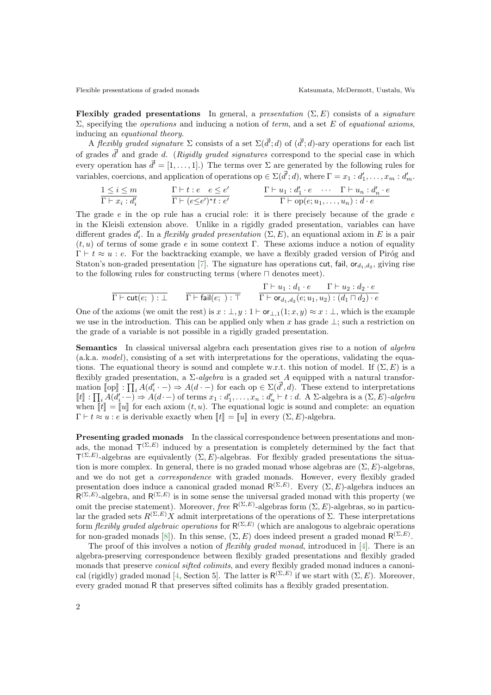Flexibly graded presentations In general, a presentation  $(\Sigma, E)$  consists of a *signature*  $\Sigma$ , specifying the *operations* and inducing a notion of *term*, and a set E of *equational axioms*, inducing an equational theory.

A flexibly graded signature  $\Sigma$  consists of a set  $\Sigma(\vec{d}';d)$  of  $(\vec{d}';d)$ -ary operations for each list of grades  $\vec{d}$  and grade d. (Rigidly graded signatures correspond to the special case in which every operation has  $\vec{d'} = [1, \ldots, 1]$ .) The terms over  $\Sigma$  are generated by the following rules for variables, coercions, and application of operations op  $\in \Sigma(\vec{d}^{\prime};d)$ , where  $\Gamma = x_1 : d'_1, \ldots, x_m : d'_m$ .

$$
\frac{1 \leq i \leq m}{\Gamma \vdash x_i : d'_i} \qquad \frac{\Gamma \vdash t : e \quad e \leq e'}{\Gamma \vdash (e \leq e')^* t : e'} \qquad \frac{\Gamma \vdash u_1 : d'_1 \cdot e \quad \cdots \quad \Gamma \vdash u_n : d'_n \cdot e}{\Gamma \vdash \text{op}(e; u_1, \ldots, u_n) : d \cdot e}
$$

The grade  $e$  in the op rule has a crucial role: it is there precisely because of the grade  $e$ in the Kleisli extension above. Unlike in a rigidly graded presentation, variables can have different grades  $d'_i$ . In a *flexibly graded presentation*  $(\Sigma, E)$ , an equational axiom in E is a pair  $(t, u)$  of terms of some grade e in some context Γ. These axioms induce a notion of equality  $\Gamma \vdash t \approx u : e$ . For the backtracking example, we have a flexibly graded version of Piróg and Staton's non-graded presentation [\[7\]](#page-2-3). The signature has operations cut, fail,  $\mathsf{or}_{d_1,d_2}$ , giving rise to the following rules for constructing terms (where ⊓ denotes meet).

$$
\frac{\Gamma \vdash u_1 : d_1 \cdot e \quad \Gamma \vdash u_2 : d_2 \cdot e}{\Gamma \vdash \mathsf{fail}(e;) : \top} \qquad \frac{\Gamma \vdash u_1 : d_1 \cdot e \quad \Gamma \vdash u_2 : d_2 \cdot e}{\Gamma \vdash \mathsf{or}_{d_1, d_2}(e; u_1, u_2) : (d_1 \sqcap d_2) \cdot e}
$$

One of the axioms (we omit the rest) is  $x : \bot, y : 1 \vdash$  or  $\bot, 1(1; x, y) \approx x : \bot$ , which is the example we use in the introduction. This can be applied only when x has grade  $\perp$ ; such a restriction on the grade of a variable is not possible in a rigidly graded presentation.

Semantics In classical universal algebra each presentation gives rise to a notion of algebra (a.k.a. model), consisting of a set with interpretations for the operations, validating the equations. The equational theory is sound and complete w.r.t. this notion of model. If  $(\Sigma, E)$  is a flexibly graded presentation, a  $\Sigma$ -algebra is a graded set A equipped with a natural transformation  $[\![op]\!] : \prod_i A(d_i \cdot -) \Rightarrow A(d \cdot -)$  for each op  $\in \Sigma(\vec{d'}, d)$ . These extend to interpretations  $[[t]] : \prod_i A(d'_i - ) \Rightarrow A(d - )$  of terms  $x_1 : d'_1, \ldots, x_n : d'_n \vdash t : d$ . A  $\Sigma$ -algebra is a  $(\Sigma, E)$ -algebra<br>when  $[[t]] = [[t]]$  for each evident  $(t, u)$ . The countinged logic is sound and complete: an equation when  $\llbracket t \rrbracket = \llbracket u \rrbracket$  for each axiom  $(t, u)$ . The equational logic is sound and complete: an equation  $\Gamma \vdash t \approx u : e$  is derivable exactly when  $\llbracket t \rrbracket = \llbracket u \rrbracket$  in every  $(\Sigma, E)$ -algebra.

Presenting graded monads In the classical correspondence between presentations and monads, the monad  $\mathsf{T}^{(\Sigma,E)}$  induced by a presentation is completely determined by the fact that  $T^{(\Sigma,E)}$ -algebras are equivalently  $(\Sigma, E)$ -algebras. For flexibly graded presentations the situation is more complex. In general, there is no graded monad whose algebras are  $(\Sigma, E)$ -algebras, and we do not get a *correspondence* with graded monads. However, every flexibly graded presentation does induce a canonical graded monad  $R^{(\Sigma,E)}$ . Every  $(\Sigma, E)$ -algebra induces an  $R^{(\Sigma,E)}$ -algebra, and  $R^{(\Sigma,E)}$  is in some sense the universal graded monad with this property (we omit the precise statement). Moreover, free  $R^{(\Sigma,E)}$ -algebras form  $(\Sigma, E)$ -algebras, so in particular the graded sets  $R^{(\Sigma,E)}$ X admit interpretations of the operations of  $\Sigma$ . These interpretations form *flexibly graded algebraic operations* for  $R^{(\Sigma,E)}$  (which are analogous to algebraic operations for non-graded monads [\[8\]](#page-2-7)). In this sense,  $(\Sigma, E)$  does indeed present a graded monad  $\mathsf{R}^{(\Sigma,E)}$ .

The proof of this involves a notion of *flexibly graded monad*, introduced in [\[4\]](#page-2-8). There is an algebra-preserving correspondence between flexibly graded presentations and flexibly graded monads that preserve *conical sifted colimits*, and every flexibly graded monad induces a canoni-cal (rigidly) graded monad [\[4,](#page-2-8) Section 5]. The latter is  $R^{(\Sigma,E)}$  if we start with  $(\Sigma, E)$ . Moreover, every graded monad R that preserves sifted colimits has a flexibly graded presentation.